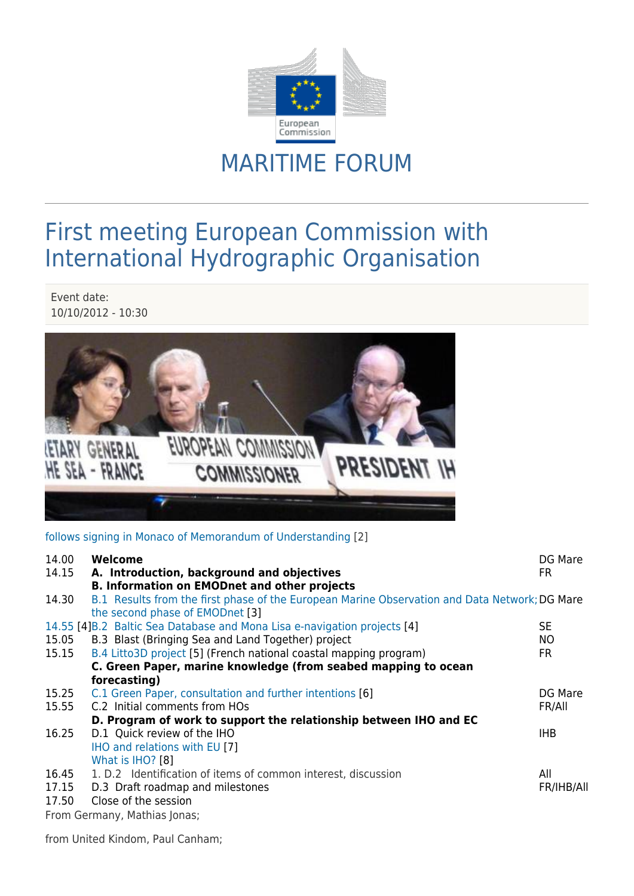

## MARITIME FORUM

## First meeting European Commission with International Hydrographic Organisation

Event date: 10/10/2012 - 10:30



[follows signing in Monaco of Memorandum of Understanding](http://ec.europa.eu/commission_2010-2014/damanaki/headlines/speeches/2012/04/20120423_speech_en.htm) [2]

| 14.00<br>14.15               | Welcome<br>A. Introduction, background and objectives<br><b>B. Information on EMODnet and other projects</b>                     | DG Mare<br><b>FR</b> |
|------------------------------|----------------------------------------------------------------------------------------------------------------------------------|----------------------|
| 14.30                        | B.1 Results from the first phase of the European Marine Observation and Data Network; DG Mare<br>the second phase of EMODnet [3] |                      |
|                              | 14.55 [4] B.2 Baltic Sea Database and Mona Lisa e-navigation projects [4]                                                        | <b>SE</b>            |
| 15.05                        | B.3 Blast (Bringing Sea and Land Together) project                                                                               | NO.                  |
| 15.15                        | B.4 Litto3D project [5] (French national coastal mapping program)                                                                | <b>FR</b>            |
|                              | C. Green Paper, marine knowledge (from seabed mapping to ocean                                                                   |                      |
|                              | forecasting)                                                                                                                     |                      |
| 15.25                        | C.1 Green Paper, consultation and further intentions [6]                                                                         | DG Mare              |
| 15.55                        | C.2 Initial comments from HOs                                                                                                    | FR/All               |
|                              | D. Program of work to support the relationship between IHO and EC                                                                |                      |
| 16.25                        | D.1 Quick review of the IHO                                                                                                      | <b>IHB</b>           |
|                              | IHO and relations with EU [7]                                                                                                    |                      |
|                              | What is IHO? [8]                                                                                                                 |                      |
| 16.45                        | 1. D.2 Identification of items of common interest, discussion                                                                    | All                  |
| 17.15                        | D.3 Draft roadmap and milestones                                                                                                 | FR/IHB/All           |
| 17.50                        | Close of the session                                                                                                             |                      |
| From Germany, Mathias Jonas; |                                                                                                                                  |                      |

from United Kindom, Paul Canham;